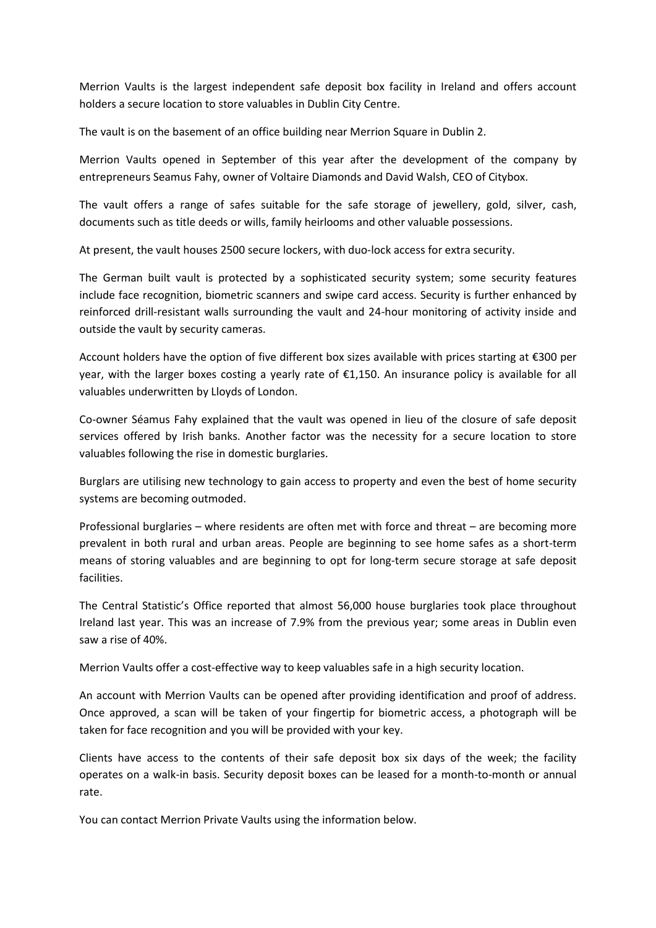Merrion Vaults is the largest independent safe deposit box facility in Ireland and offers account holders a secure location to store valuables in Dublin City Centre.

The vault is on the basement of an office building near Merrion Square in Dublin 2.

Merrion Vaults opened in September of this year after the development of the company by entrepreneurs Seamus Fahy, owner of Voltaire Diamonds and David Walsh, CEO of Citybox.

The vault offers a range of safes suitable for the safe storage of jewellery, gold, silver, cash, documents such as title deeds or wills, family heirlooms and other valuable possessions.

At present, the vault houses 2500 secure lockers, with duo-lock access for extra security.

The German built vault is protected by a sophisticated security system; some security features include face recognition, biometric scanners and swipe card access. Security is further enhanced by reinforced drill-resistant walls surrounding the vault and 24-hour monitoring of activity inside and outside the vault by security cameras.

Account holders have the option of five different box sizes available with prices starting at €300 per year, with the larger boxes costing a yearly rate of €1,150. An insurance policy is available for all valuables underwritten by Lloyds of London.

Co-owner Séamus Fahy explained that the vault was opened in lieu of the closure of safe deposit services offered by Irish banks. Another factor was the necessity for a secure location to store valuables following the rise in domestic burglaries.

Burglars are utilising new technology to gain access to property and even the best of home security systems are becoming outmoded.

Professional burglaries – where residents are often met with force and threat – are becoming more prevalent in both rural and urban areas. People are beginning to see home safes as a short-term means of storing valuables and are beginning to opt for long-term secure storage at safe deposit facilities.

The Central Statistic's Office reported that almost 56,000 house burglaries took place throughout Ireland last year. This was an increase of 7.9% from the previous year; some areas in Dublin even saw a rise of 40%.

Merrion Vaults offer a cost-effective way to keep valuables safe in a high security location.

An account with Merrion Vaults can be opened after providing identification and proof of address. Once approved, a scan will be taken of your fingertip for biometric access, a photograph will be taken for face recognition and you will be provided with your key.

Clients have access to the contents of their safe deposit box six days of the week; the facility operates on a walk-in basis. Security deposit boxes can be leased for a month-to-month or annual rate.

You can contact Merrion Private Vaults using the information below.